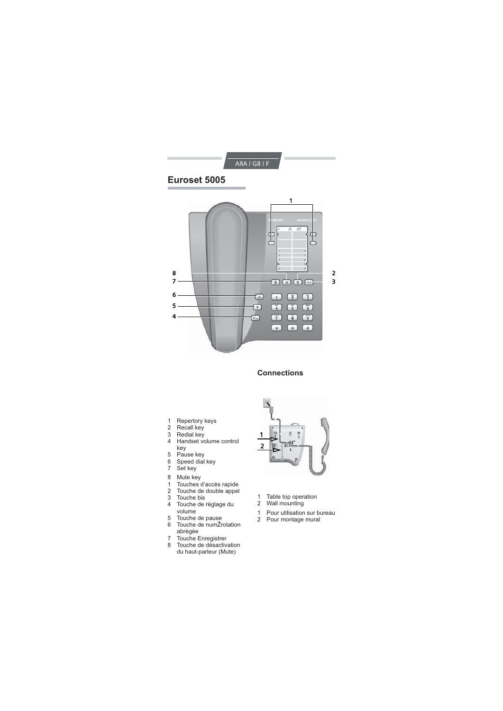

## **Connections**

- 1 Repertory keys
- 2 Recall key
- 3 Redial key 4 Handset volume control
- key
- 5 Pause key
- 6 Speed dial key
- 7 Set key
- 8 Mute key
- 1 Touches d'accès rapide
- 
- 2 Touche de double appel<br>3 Touche bis<br>4 Touche de règlage du 3 Touche bis 4 Touche de règlage du volume
- 5 Touche de pause 6 Touche de numŽrotation
- abrègèe
- 7 Touche Enregistrer 8 Touche de dèsactivation du haut-parleur (Mute)



- 1 Table top operation
- 2 Wall mounting
- 1 Pour utilisation sur bureau
- 2 Pour montage mural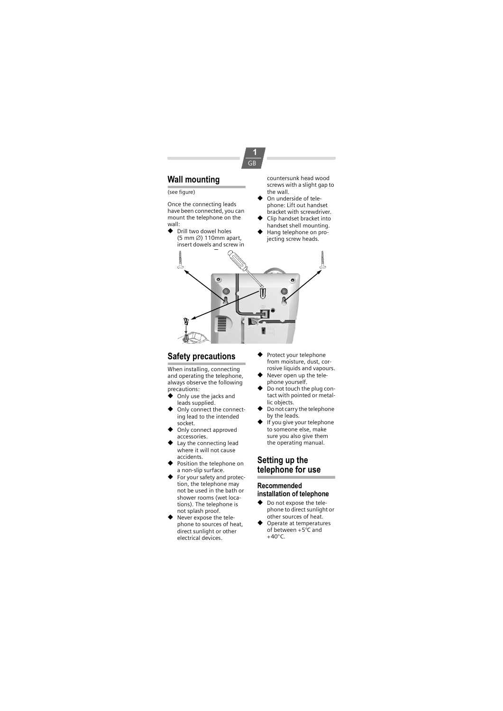

## (see figure)

Once the connecting leads have been connected, you can mount the telephone on the wall:

◆ Drill two dowel holes (5 mm ∅) 110mm apart, insert dowels and screw in countersunk head wood screws with a slight gap to the wall.

- ◆ On underside of telephone: Lift out handset bracket with screwdriver.
- ◆ Clip handset bracket into handset shell mounting.
- ◆ Hang telephone on projecting screw heads.



**1** GB

## **Safety precautions**

When installing, connecting and operating the telephone, always observe the following precautions:

- Only use the jacks and leads supplied.
- Only connect the connecting lead to the intended
- socket. ◆ Only connect approved accessories.
- Lay the connecting lead where it will not cause accidents.
- ◆ Position the telephone on
- a non-slip surface. ◆ For your safety and protection, the telephone may not be used in the bath or shower rooms (wet locations). The telephone is
- not splash proof. ◆ Never expose the telephone to sources of heat, direct sunlight or other electrical devices.
- ◆ Protect your telephone from moisture, dust, corrosive liquids and vapours.
- ◆ Never open up the telephone yourself. ◆ Do not touch the plug con-
- tact with pointed or metallic objects.
- ◆ Do not carry the telephone by the leads.
- ◆ If you give your telephone to someone else, make sure you also give them the operating manual.

## **Setting up the telephone for use**

#### **Recommended installation of telephone**

- ◆ Do not expose the telephone to direct sunlight or other sources of heat.
- ◆ Operate at temperatures of between +5°C and  $+40^{\circ}$ C.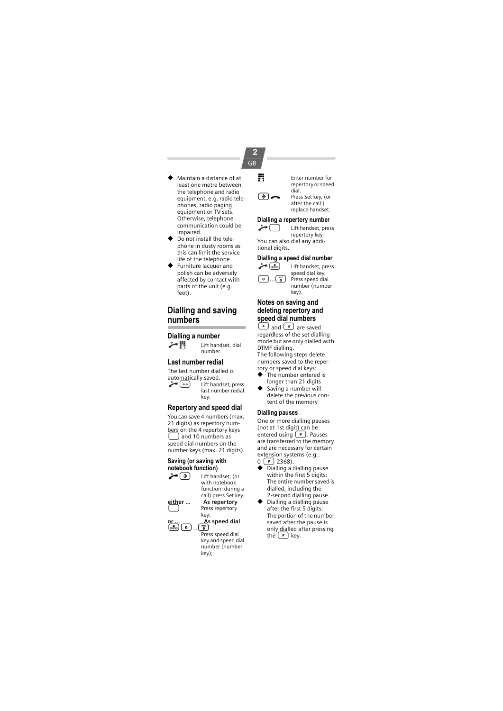## **2** GB

- Maintain a distance of at least one metre between the telephone and radio equipment, e.g. radio telephones, radio paging equipment or TV sets. Otherwise, telephone communication could be impaired.
- Do not install the telephone in dusty rooms as this can limit the service life of the telephone.
- ◆ Furniture lacquer and polish can be adversely affected by contact with parts of the unit (e.g. feet).

## **Dialling and saving numbers**

#### **Dialling a number**

 $\leftarrow$  || Lift handset, dial

#### **Last number redial**

The last number dialled is automatically saved.<br>Lift hand c; Lift handset, press last number redial key.

number.

#### **Repertory and speed dial**

You can save 4 numbers (max. 21 digits) as repertory numbers on the 4 repertory keys<br>  $\bigodot$  and 10 numbers as speed dial numbers on the number keys (max. 21 digits).

## **Saving (or saving with notebook function)**<br>(  $\Rightarrow$  **a** Lift han

Lift handset, (or with notebook function: during a

**either ... As repertory**

Press repertory key;  $\lim\limits_{\text{min}}$ 

As speed dial

Press speed dial key and speed dial number (number key);

call) press Set key.

**FR** Enter number for repertory or speed dial.  $\circled{)} \bullet$  Press Set key, (or

after the call:) replace handset.

#### **Dialling a repertory number** Lift handset, press

repertory key. You can also dial any additional digits.

# **Dialling a speed dial number**<br>(  $\frac{1}{\sqrt{1-\frac{1}{n}}}\int$  Lift handset, press

Lift handset, press speed dial key.  $\boxed{\bullet}$ ... $\boxed{\overset{w\text{.}}{\bullet}}$  Press speed dial number (number key).

### **Notes on saving and deleting repertory and speed dial numbers**

 $\circled{+}$  and  $\circled{+}$  are saved regardless of the set dialling mode but are only dialled with DTMF dialling. The following steps delete numbers saved to the repertory or speed dial keys:<br>◆ The number enteree

- The number entered is longer than 21 digits
- ◆ Saving a number will delete the previous content of the memory

## **Dialling pauses**

One or more dialling pauses (not at 1st digit) can be<br>entered using  $\left(\begin{array}{ccc} \mathbb{P} \\ \mathbb{P} \end{array}\right)$ . Pauses<br>are transferred to the memory and are necessary for certain extension systems (e.g.:  $0(P)$  2368).

- ◆ Dialling a dialling pause within the first 5 digits: The entire number saved is dialled, including the 2-second dialling pause.
- ◆ Dialling a dialling pause after the first 5 digits: The portion of the number saved after the pause is only dialled after pressing the  $\boxed{P}$  key.

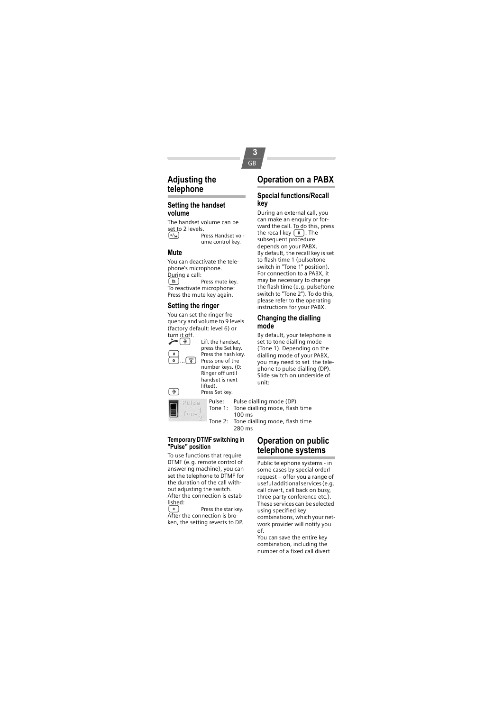# **Adjusting the**

#### **telephone**

#### **Setting the handset volume**

The handset volume can be set to 2 levels.<br> $\begin{bmatrix} +/2 \\ 2 \end{bmatrix}$  p ...<br>-Press Handset vol ume control key.

#### **Mute**

You can deactivate the telephone's microphone. During a call:<br> $\begin{bmatrix} \boxed{\mathbf{R}} \end{bmatrix}$ Press mute key.

To reactivate microphone: Press the mute key again.

## **Setting the ringer**

You can set the ringer frequency and volume to 9 levels (factory default: level 6) or



press the Set key.  $\begin{array}{c} \hline \text{#} \\ \hline \text{ } \\ \hline \text{ } \\ \hline \end{array}$  Press the hash key. Press one of the number keys. (0: Ringer off until

Lift the handset,

handset is next lifted). **a**<br>**Press Set key.**<br>**Pulse**: **Pulse:** 

#### **Temporary DTMF switching in "Pulse" position**

To use functions that require DTMF (e.g. remote control of answering machine), you can set the telephone to DTMF for the duration of the call without adjusting the switch. After the connection is estab-

lished:<br>(\*) Press the star key. After the connection is broken, the setting reverts to DP.

## **Operation on a PABX**

**3** GB

#### **Special functions/Recall key**

During an external call, you can make an enquiry or forward the call. To do this, press<br>the recall key  $\left(\mathbb{R}\right)$ . The subsequent procedure depends on your PABX. By default, the recall key is set to flash time 1 (pulse/tone switch in "Tone 1" position). For connection to a PABX, it may be necessary to change the flash time (e.g. pulse/tone switch to "Tone 2"). To do this, please refer to the operating instructions for your PABX.

#### **Changing the dialling mode**

By default, your telephone is set to tone dialling mode (Tone 1). Depending on the dialling mode of your PABX, you may need to set the telephone to pulse dialling (DP). Slide switch on underside of unit:

Pulse: Pulse dialling mode (DP)<br>Tone 1: Tone dialling mode, flash Tone dialling mode, flash time 100 ms Tone 2: Tone dialling mode, flash time 280 ms

## **Operation on public telephone systems**

Public telephone systems - in some cases by special order/ request – offer you a range of useful additional services (e.g. call divert, call back on busy, three-party conference etc.). These services can be selected using specified key combinations, which your network provider will notify you

of. You can save the entire key combination, including the number of a fixed call divert